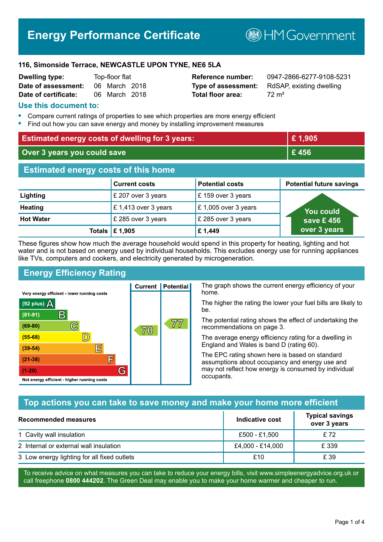# **Energy Performance Certificate**

**B**HM Government

#### **116, Simonside Terrace, NEWCASTLE UPON TYNE, NE6 5LA**

| <b>Dwelling type:</b> | Top-floor flat |  |
|-----------------------|----------------|--|
| Date of assessment:   | 06 March 2018  |  |
| Date of certificate:  | 06 March 2018  |  |

# **Total floor area:** 72 m<sup>2</sup>

**Reference number:** 0947-2866-6277-9108-5231 **Type of assessment:** RdSAP, existing dwelling

#### **Use this document to:**

- **•** Compare current ratings of properties to see which properties are more energy efficient
- **•** Find out how you can save energy and money by installing improvement measures

| <b>Estimated energy costs of dwelling for 3 years:</b> |                           | £1,905                 |                                 |
|--------------------------------------------------------|---------------------------|------------------------|---------------------------------|
| Over 3 years you could save                            |                           | £456                   |                                 |
| <b>Estimated energy costs of this home</b>             |                           |                        |                                 |
|                                                        | <b>Current costs</b>      | <b>Potential costs</b> | <b>Potential future savings</b> |
| Lighting                                               | £ 207 over 3 years        | £159 over 3 years      |                                 |
| <b>Heating</b>                                         | £1,413 over 3 years       | £1,005 over 3 years    | You could                       |
| <b>Hot Water</b>                                       | £ 285 over 3 years        | £ 285 over 3 years     | save £456                       |
|                                                        | Totals $\mathsf{E}$ 1,905 | £1,449                 | over 3 years                    |

These figures show how much the average household would spend in this property for heating, lighting and hot water and is not based on energy used by individual households. This excludes energy use for running appliances like TVs, computers and cookers, and electricity generated by microgeneration.

**Current | Potential** 

 $7\hskip-2pt 0$ 

# **Energy Efficiency Rating**

 $\mathbb{C}$ 

 $\mathbb{D}$ 

E

庐

G

Very energy efficient - lower running costs

R

Not energy efficient - higher running costs

 $(92$  plus)

 $(81 - 91)$ 

 $(69 - 80)$ 

 $(55-68)$ 

 $(39 - 54)$ 

 $(21-38)$ 

 $(1-20)$ 

A

The graph shows the current energy efficiency of your home.

The higher the rating the lower your fuel bills are likely to be.

The potential rating shows the effect of undertaking the recommendations on page 3.

The average energy efficiency rating for a dwelling in England and Wales is band D (rating 60).

The EPC rating shown here is based on standard assumptions about occupancy and energy use and may not reflect how energy is consumed by individual occupants.

## **Top actions you can take to save money and make your home more efficient**

 $\overline{7}\overline{7}$ 

| Recommended measures                        | Indicative cost  | <b>Typical savings</b><br>over 3 years |
|---------------------------------------------|------------------|----------------------------------------|
| 1 Cavity wall insulation                    | £500 - £1,500    | £ 72                                   |
| 2 Internal or external wall insulation      | £4,000 - £14,000 | £ 339                                  |
| 3 Low energy lighting for all fixed outlets | £10              | £ 39                                   |

To receive advice on what measures you can take to reduce your energy bills, visit www.simpleenergyadvice.org.uk or call freephone **0800 444202**. The Green Deal may enable you to make your home warmer and cheaper to run.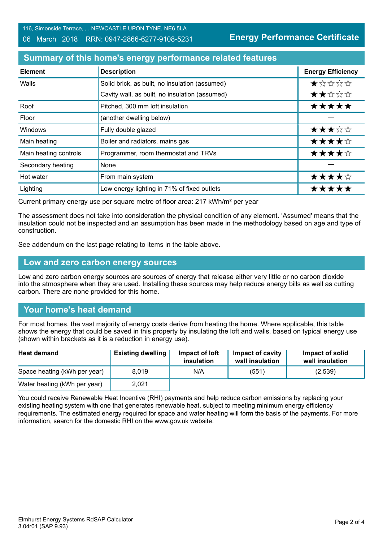116, Simonside Terrace, , , NEWCASTLE UPON TYNE, NE6 5LA

#### 06 March 2018 RRN: 0947-2866-6277-9108-5231

**Energy Performance Certificate**

# **Summary of this home's energy performance related features**

| <b>Element</b>        | <b>Description</b>                             | <b>Energy Efficiency</b> |
|-----------------------|------------------------------------------------|--------------------------|
| Walls                 | Solid brick, as built, no insulation (assumed) | *****                    |
|                       | Cavity wall, as built, no insulation (assumed) | ★★☆☆☆                    |
| Roof                  | Pitched, 300 mm loft insulation                | *****                    |
| Floor                 | (another dwelling below)                       |                          |
| Windows               | Fully double glazed                            | ★★★☆☆                    |
| Main heating          | Boiler and radiators, mains gas                | ★★★★☆                    |
| Main heating controls | Programmer, room thermostat and TRVs           | ★★★★☆                    |
| Secondary heating     | None                                           |                          |
| Hot water             | From main system                               | ★★★★☆                    |
| Lighting              | Low energy lighting in 71% of fixed outlets    | *****                    |

Current primary energy use per square metre of floor area: 217 kWh/m² per year

The assessment does not take into consideration the physical condition of any element. 'Assumed' means that the insulation could not be inspected and an assumption has been made in the methodology based on age and type of construction.

See addendum on the last page relating to items in the table above.

#### **Low and zero carbon energy sources**

Low and zero carbon energy sources are sources of energy that release either very little or no carbon dioxide into the atmosphere when they are used. Installing these sources may help reduce energy bills as well as cutting carbon. There are none provided for this home.

## **Your home's heat demand**

For most homes, the vast majority of energy costs derive from heating the home. Where applicable, this table shows the energy that could be saved in this property by insulating the loft and walls, based on typical energy use (shown within brackets as it is a reduction in energy use).

| <b>Heat demand</b>           | <b>Existing dwelling</b> | Impact of loft<br>insulation | Impact of cavity<br>wall insulation | Impact of solid<br>wall insulation |
|------------------------------|--------------------------|------------------------------|-------------------------------------|------------------------------------|
| Space heating (kWh per year) | 8.019                    | N/A                          | (551)                               | (2,539)                            |
| Water heating (kWh per year) | 2,021                    |                              |                                     |                                    |

You could receive Renewable Heat Incentive (RHI) payments and help reduce carbon emissions by replacing your existing heating system with one that generates renewable heat, subject to meeting minimum energy efficiency requirements. The estimated energy required for space and water heating will form the basis of the payments. For more information, search for the domestic RHI on the www.gov.uk website.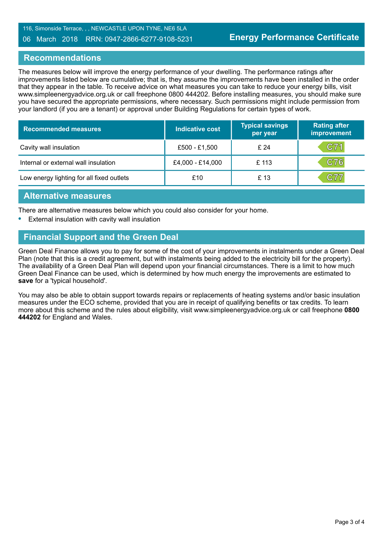#### 06 March 2018 RRN: 0947-2866-6277-9108-5231

#### **Recommendations**

The measures below will improve the energy performance of your dwelling. The performance ratings after improvements listed below are cumulative; that is, they assume the improvements have been installed in the order that they appear in the table. To receive advice on what measures you can take to reduce your energy bills, visit www.simpleenergyadvice.org.uk or call freephone 0800 444202. Before installing measures, you should make sure you have secured the appropriate permissions, where necessary. Such permissions might include permission from your landlord (if you are a tenant) or approval under Building Regulations for certain types of work.

| <b>Recommended measures</b>               | Indicative cost  | <b>Typical savings</b><br>per year | <b>Rating after</b><br>improvement |
|-------------------------------------------|------------------|------------------------------------|------------------------------------|
| Cavity wall insulation                    | £500 - £1,500    | £24                                | C71                                |
| Internal or external wall insulation      | £4,000 - £14,000 | £113                               | C76                                |
| Low energy lighting for all fixed outlets | £10              | £ 13                               | C77                                |

#### **Alternative measures**

There are alternative measures below which you could also consider for your home.

**•** External insulation with cavity wall insulation

# **Financial Support and the Green Deal**

Green Deal Finance allows you to pay for some of the cost of your improvements in instalments under a Green Deal Plan (note that this is a credit agreement, but with instalments being added to the electricity bill for the property). The availability of a Green Deal Plan will depend upon your financial circumstances. There is a limit to how much Green Deal Finance can be used, which is determined by how much energy the improvements are estimated to **save** for a 'typical household'.

You may also be able to obtain support towards repairs or replacements of heating systems and/or basic insulation measures under the ECO scheme, provided that you are in receipt of qualifying benefits or tax credits. To learn more about this scheme and the rules about eligibility, visit www.simpleenergyadvice.org.uk or call freephone **0800 444202** for England and Wales.